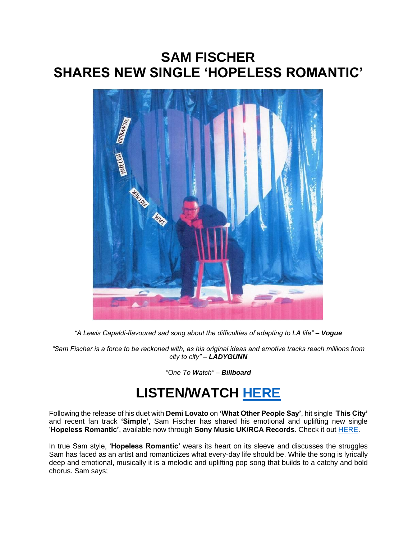## **SAM FISCHER SHARES NEW SINGLE 'HOPELESS ROMANTIC'**



*"A Lewis Capaldi-flavoured sad song about the difficulties of adapting to LA life" – Vogue*

*"Sam Fischer is a force to be reckoned with, as his original ideas and emotive tracks reach millions from city to city" – LADYGUNN*

*"One To Watch" – Billboard*

## **LISTEN/WATCH [HERE](https://eur01.safelinks.protection.outlook.com/?url=https%3A%2F%2Fsmfschr.com%2Fhopelessromanticvideo&data=04%7C01%7Cnicole.garcia.sme%40sonymusic.com%7C2c4295858d944f3cd09708d98feff3e0%7Cf0aff3b791a54aaeaf71c63e1dda2049%7C0%7C0%7C637699083048947978%7CUnknown%7CTWFpbGZsb3d8eyJWIjoiMC4wLjAwMDAiLCJQIjoiV2luMzIiLCJBTiI6Ik1haWwiLCJXVCI6Mn0%3D%7C1000&sdata=nxs%2FtN5mUA%2Fy3XcYCQpbzoRD4%2BYm6YsJmy7hH%2FP99AY%3D&reserved=0)**

Following the release of his duet with **Demi Lovato** on **'What Other People Say'**, hit single '**This City'** and recent fan track **'Simple'**, Sam Fischer has shared his emotional and uplifting new single '**Hopeless Romantic'**, available now through **Sony Music UK/RCA Records**. Check it out [HERE.](https://eur01.safelinks.protection.outlook.com/?url=https%3A%2F%2Fsmfschr.com%2Fhopelessromanticvideo&data=04%7C01%7Cnicole.garcia.sme%40sonymusic.com%7C2c4295858d944f3cd09708d98feff3e0%7Cf0aff3b791a54aaeaf71c63e1dda2049%7C0%7C0%7C637699083048947978%7CUnknown%7CTWFpbGZsb3d8eyJWIjoiMC4wLjAwMDAiLCJQIjoiV2luMzIiLCJBTiI6Ik1haWwiLCJXVCI6Mn0%3D%7C1000&sdata=nxs%2FtN5mUA%2Fy3XcYCQpbzoRD4%2BYm6YsJmy7hH%2FP99AY%3D&reserved=0)

In true Sam style, '**Hopeless Romantic'** wears its heart on its sleeve and discusses the struggles Sam has faced as an artist and romanticizes what every-day life should be. While the song is lyrically deep and emotional, musically it is a melodic and uplifting pop song that builds to a catchy and bold chorus. Sam says;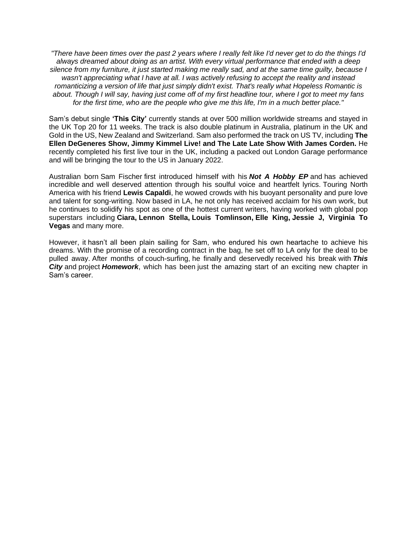*"There have been times over the past 2 years where I really felt like I'd never get to do the things I'd always dreamed about doing as an artist. With every virtual performance that ended with a deep silence from my furniture, it just started making me really sad, and at the same time guilty, because I wasn't appreciating what I have at all. I was actively refusing to accept the reality and instead romanticizing a version of life that just simply didn't exist. That's really what Hopeless Romantic is about. Though I will say, having just come off of my first headline tour, where I got to meet my fans for the first time, who are the people who give me this life, I'm in a much better place."*

Sam's debut single **'This City'** currently stands at over 500 million worldwide streams and stayed in the UK Top 20 for 11 weeks. The track is also double platinum in Australia, platinum in the UK and Gold in the US, New Zealand and Switzerland. Sam also performed the track on US TV, including **The Ellen DeGeneres Show, Jimmy Kimmel Live! and The Late Late Show With James Corden.** He recently completed his first live tour in the UK, including a packed out London Garage performance and will be bringing the tour to the US in January 2022.

Australian born Sam Fischer first introduced himself with his *Not A Hobby EP* and has achieved incredible and well deserved attention through his soulful voice and heartfelt lyrics. Touring North America with his friend **Lewis Capaldi**, he wowed crowds with his buoyant personality and pure love and talent for song-writing. Now based in LA, he not only has received acclaim for his own work, but he continues to solidify his spot as one of the hottest current writers, having worked with global pop superstars including **Ciara, Lennon Stella, Louis Tomlinson, Elle King, Jessie J, Virginia To Vegas** and many more.

However, it hasn't all been plain sailing for Sam, who endured his own heartache to achieve his dreams. With the promise of a recording contract in the bag, he set off to LA only for the deal to be pulled away. After months of couch-surfing, he finally and deservedly received his break with *This*  **City** and project **Homework**, which has been just the amazing start of an exciting new chapter in Sam's career.